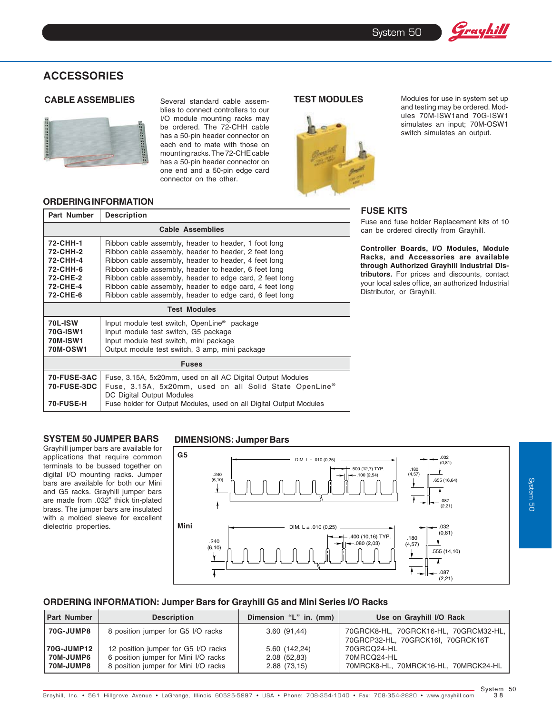# **ACCESSORIES**



**ORDERING INFORMATION**

**CABLE ASSEMBLIES** Several standard cable assem- **TEST MODULES** blies to connect controllers to our I/O module mounting racks may be ordered. The 72-CHH cable has a 50-pin header connector on each end to mate with those on mounting racks. The 72-CHE cable has a 50-pin header connector on one end and a 50-pin edge card connector on the other.



Modules for use in system set up and testing may be ordered. Modules 70M-ISW1and 70G-ISW1 simulates an input; 70M-OSW1 switch simulates an output.

Grayhill

## **FUSE KITS Part Number Description**

Fuse and fuse holder Replacement kits of 10 can be ordered directly from Grayhill.

**Controller Boards, I/O Modules, Module Racks, and Accessories are available through Authorized Grayhill Industrial Distributors.** For prices and discounts, contact your local sales office, an authorized Industrial Distributor, or Grayhill.

| 72-CHH-1<br>72-CHH-2<br>72-CHH-4<br>72-CHH-6<br>72-CHE-2<br>72-CHE-4<br>72-CHE-6 | Ribbon cable assembly, header to header, 1 foot long<br>Ribbon cable assembly, header to header, 2 feet long<br>Ribbon cable assembly, header to header, 4 feet long<br>Ribbon cable assembly, header to header, 6 feet long<br>Ribbon cable assembly, header to edge card, 2 feet long<br>Ribbon cable assembly, header to edge card, 4 feet long<br>Ribbon cable assembly, header to edge card, 6 feet long |  |  |
|----------------------------------------------------------------------------------|---------------------------------------------------------------------------------------------------------------------------------------------------------------------------------------------------------------------------------------------------------------------------------------------------------------------------------------------------------------------------------------------------------------|--|--|
| <b>Test Modules</b>                                                              |                                                                                                                                                                                                                                                                                                                                                                                                               |  |  |
| <b>70L-ISW</b><br><b>70G-ISW1</b><br><b>70M-ISW1</b><br><b>70M-OSW1</b>          | Input module test switch, OpenLine <sup>®</sup> package<br>Input module test switch, G5 package<br>Input module test switch, mini package<br>Output module test switch, 3 amp, mini package                                                                                                                                                                                                                   |  |  |
| <b>Fuses</b>                                                                     |                                                                                                                                                                                                                                                                                                                                                                                                               |  |  |
| <b>70-FUSE-3AC</b><br><b>70-FUSE-3DC</b>                                         | Fuse, 3.15A, 5x20mm, used on all AC Digital Output Modules<br>Fuse, 3.15A, 5x20mm, used on all Solid State OpenLine®<br>DC Digital Output Modules                                                                                                                                                                                                                                                             |  |  |
| <b>70-FUSE-H</b>                                                                 | Fuse holder for Output Modules, used on all Digital Output Modules                                                                                                                                                                                                                                                                                                                                            |  |  |

**Cable Assemblies**

### **SYSTEM 50 JUMPER BARS**

Grayhill jumper bars are available for applications that require common terminals to be bussed together on digital I/O mounting racks. Jumper bars are available for both our Mini and G5 racks. Grayhill jumper bars are made from .032" thick tin-plated brass. The jumper bars are insulated with a molded sleeve for excellent dielectric properties.

#### **DIMENSIONS: Jumper Bars**



### **ORDERING INFORMATION: Jumper Bars for Grayhill G5 and Mini Series I/O Racks**

| <b>Part Number</b> | <b>Description</b>                   | Dimension "L" in. (mm) | Use on Grayhill I/O Rack                                                   |
|--------------------|--------------------------------------|------------------------|----------------------------------------------------------------------------|
| <b>70G-JUMP8</b>   | 8 position jumper for G5 I/O racks   | 3.60(91,44)            | 70GRCK8-HL, 70GRCK16-HL, 70GRCM32-HL,<br>70GRCP32-HL, 70GRCK16I, 70GRCK16T |
| 70G-JUMP12         | 12 position jumper for G5 I/O racks  | 5.60 (142,24)          | 70GRCQ24-HL                                                                |
| <b>70M-JUMP6</b>   | 6 position jumper for Mini I/O racks | 2.08(52.83)            | 70MRCQ24-HL                                                                |
| <b>70M-JUMP8</b>   | 8 position jumper for Mini I/O racks | 2.88(73,15)            | 70MRCK8-HL, 70MRCK16-HL, 70MRCK24-HL                                       |